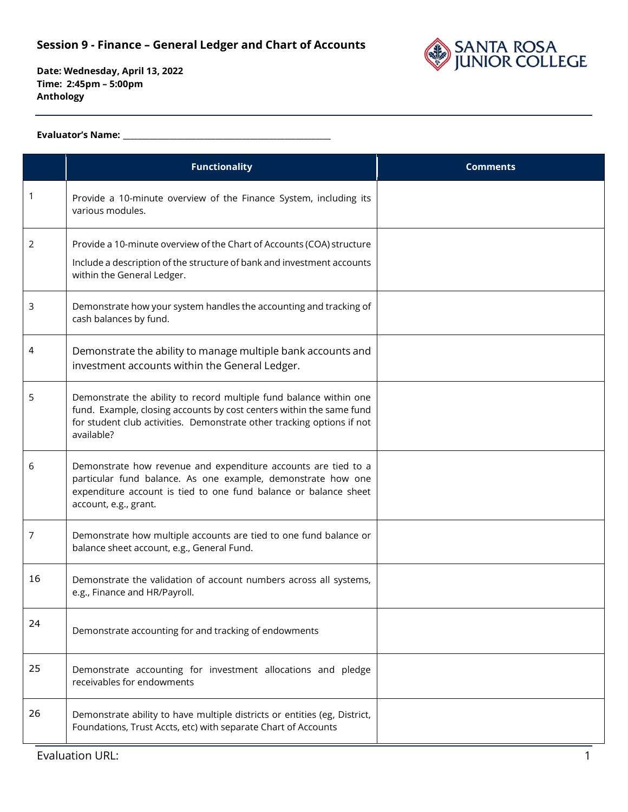

**Date: Wednesday, April 13, 2022 Time: 2:45pm – 5:00pm Anthology**

#### **Evaluator's Name: \_\_\_\_\_\_\_\_\_\_\_\_\_\_\_\_\_\_\_\_\_\_\_\_\_\_\_\_\_\_\_\_\_\_\_\_\_\_\_\_\_\_\_\_\_\_\_\_\_\_\_\_\_\_**

|    | <b>Functionality</b>                                                                                                                                                                                                               | <b>Comments</b> |
|----|------------------------------------------------------------------------------------------------------------------------------------------------------------------------------------------------------------------------------------|-----------------|
|    | Provide a 10-minute overview of the Finance System, including its<br>various modules.                                                                                                                                              |                 |
| 2  | Provide a 10-minute overview of the Chart of Accounts (COA) structure<br>Include a description of the structure of bank and investment accounts<br>within the General Ledger.                                                      |                 |
| 3  | Demonstrate how your system handles the accounting and tracking of<br>cash balances by fund.                                                                                                                                       |                 |
| 4  | Demonstrate the ability to manage multiple bank accounts and<br>investment accounts within the General Ledger.                                                                                                                     |                 |
| 5  | Demonstrate the ability to record multiple fund balance within one<br>fund. Example, closing accounts by cost centers within the same fund<br>for student club activities. Demonstrate other tracking options if not<br>available? |                 |
| 6  | Demonstrate how revenue and expenditure accounts are tied to a<br>particular fund balance. As one example, demonstrate how one<br>expenditure account is tied to one fund balance or balance sheet<br>account, e.g., grant.        |                 |
| 7  | Demonstrate how multiple accounts are tied to one fund balance or<br>balance sheet account, e.g., General Fund.                                                                                                                    |                 |
| 16 | Demonstrate the validation of account numbers across all systems,<br>e.g., Finance and HR/Payroll.                                                                                                                                 |                 |
| 24 | Demonstrate accounting for and tracking of endowments                                                                                                                                                                              |                 |
| 25 | Demonstrate accounting for investment allocations and pledge<br>receivables for endowments                                                                                                                                         |                 |
| 26 | Demonstrate ability to have multiple districts or entities (eg, District,<br>Foundations, Trust Accts, etc) with separate Chart of Accounts                                                                                        |                 |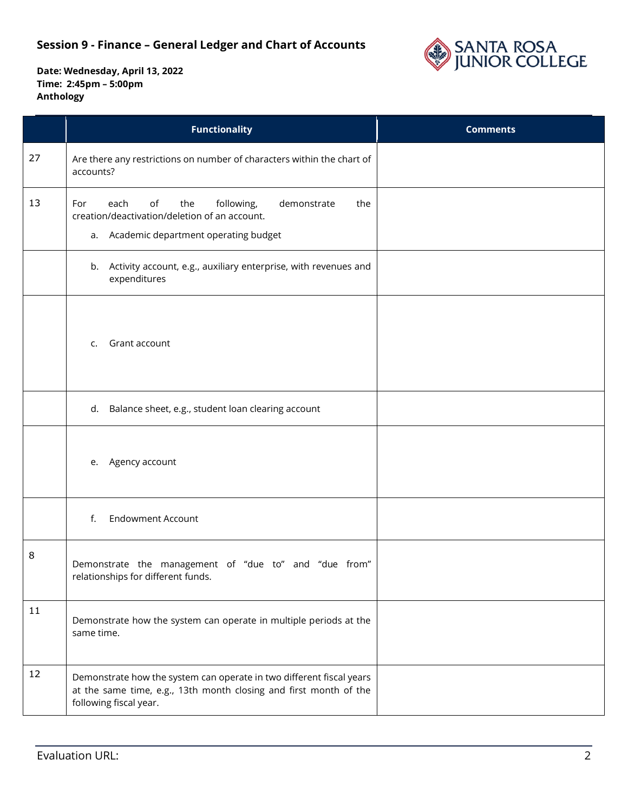

|    | <b>Functionality</b>                                                                                                                                                | <b>Comments</b> |
|----|---------------------------------------------------------------------------------------------------------------------------------------------------------------------|-----------------|
| 27 | Are there any restrictions on number of characters within the chart of<br>accounts?                                                                                 |                 |
| 13 | the<br>following,<br>For<br>each<br>of<br>demonstrate<br>the<br>creation/deactivation/deletion of an account.<br>a. Academic department operating budget            |                 |
|    | b. Activity account, e.g., auxiliary enterprise, with revenues and<br>expenditures                                                                                  |                 |
|    | Grant account<br>C.                                                                                                                                                 |                 |
|    | d. Balance sheet, e.g., student loan clearing account                                                                                                               |                 |
|    | e. Agency account                                                                                                                                                   |                 |
|    | <b>Endowment Account</b><br>f.                                                                                                                                      |                 |
| 8  | Demonstrate the management of "due to" and "due from"<br>relationships for different funds.                                                                         |                 |
| 11 | Demonstrate how the system can operate in multiple periods at the<br>same time.                                                                                     |                 |
| 12 | Demonstrate how the system can operate in two different fiscal years<br>at the same time, e.g., 13th month closing and first month of the<br>following fiscal year. |                 |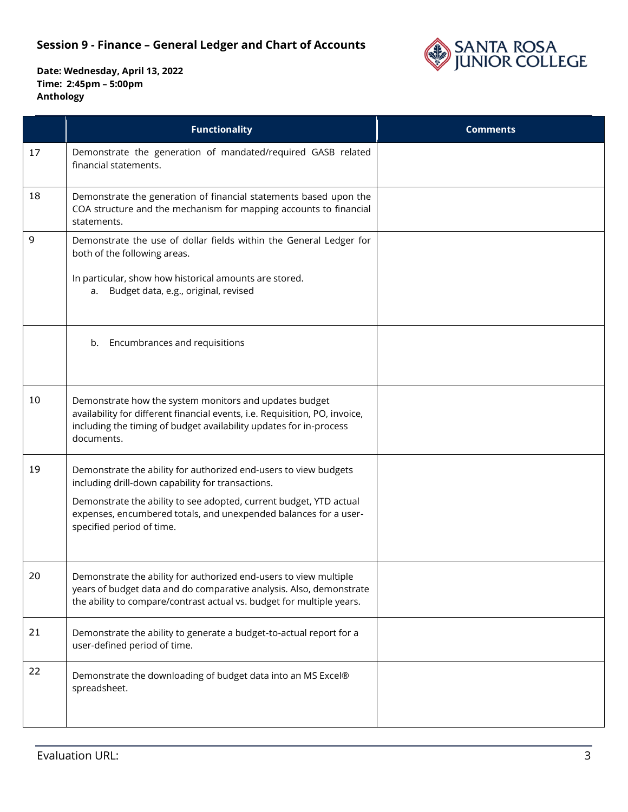

|    | <b>Functionality</b>                                                                                                                                                                                                      | <b>Comments</b> |
|----|---------------------------------------------------------------------------------------------------------------------------------------------------------------------------------------------------------------------------|-----------------|
| 17 | Demonstrate the generation of mandated/required GASB related<br>financial statements.                                                                                                                                     |                 |
| 18 | Demonstrate the generation of financial statements based upon the<br>COA structure and the mechanism for mapping accounts to financial<br>statements.                                                                     |                 |
| 9  | Demonstrate the use of dollar fields within the General Ledger for<br>both of the following areas.                                                                                                                        |                 |
|    | In particular, show how historical amounts are stored.<br>a. Budget data, e.g., original, revised                                                                                                                         |                 |
|    | b. Encumbrances and requisitions                                                                                                                                                                                          |                 |
| 10 | Demonstrate how the system monitors and updates budget<br>availability for different financial events, i.e. Requisition, PO, invoice,<br>including the timing of budget availability updates for in-process<br>documents. |                 |
| 19 | Demonstrate the ability for authorized end-users to view budgets<br>including drill-down capability for transactions.                                                                                                     |                 |
|    | Demonstrate the ability to see adopted, current budget, YTD actual<br>expenses, encumbered totals, and unexpended balances for a user-<br>specified period of time.                                                       |                 |
| 20 | Demonstrate the ability for authorized end-users to view multiple<br>years of budget data and do comparative analysis. Also, demonstrate<br>the ability to compare/contrast actual vs. budget for multiple years.         |                 |
| 21 | Demonstrate the ability to generate a budget-to-actual report for a<br>user-defined period of time.                                                                                                                       |                 |
| 22 | Demonstrate the downloading of budget data into an MS Excel®<br>spreadsheet.                                                                                                                                              |                 |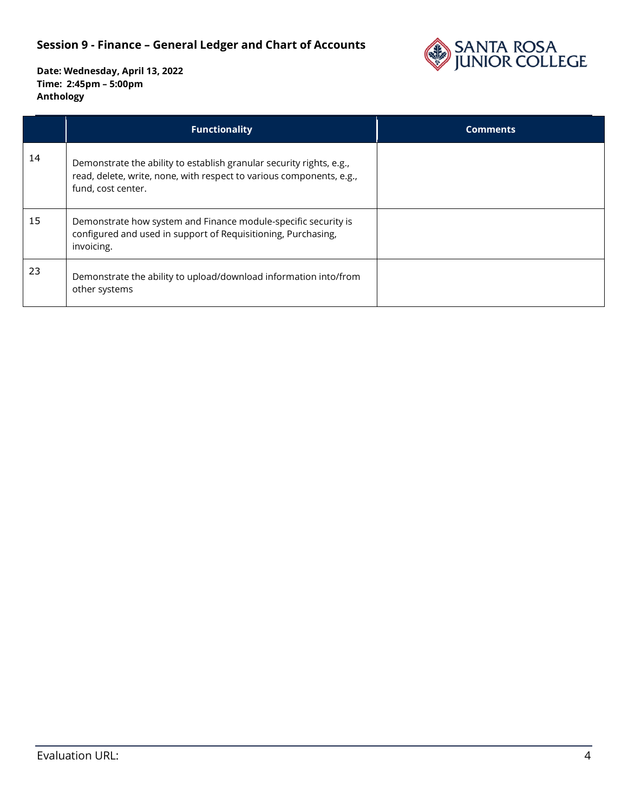

|    | <b>Functionality</b>                                                                                                                                               | <b>Comments</b> |
|----|--------------------------------------------------------------------------------------------------------------------------------------------------------------------|-----------------|
| 14 | Demonstrate the ability to establish granular security rights, e.g.,<br>read, delete, write, none, with respect to various components, e.g.,<br>fund, cost center. |                 |
| 15 | Demonstrate how system and Finance module-specific security is<br>configured and used in support of Requisitioning, Purchasing,<br>invoicing.                      |                 |
| 23 | Demonstrate the ability to upload/download information into/from<br>other systems                                                                                  |                 |